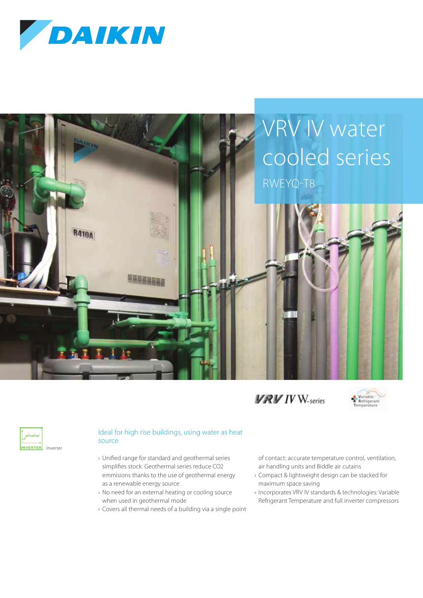







| Inverter |
|----------|

## Ideal for high rise buildings, using water as heat source

- › Unified range for standard and geothermal series simplifies stock. Geothermal series reduce CO2 emmisions thanks to the use of geothermal energy as a renewable energy source
- › No need for an external heating or cooling source when used in geothermal mode
- › Covers all thermal needs of a building via a single point

of contact: accurate temperature control, ventilation, air handling units and Biddle air cutains

- › Compact & lightweight design can be stacked for maximum space saving
- › Incorporates VRV IV standards & technologies: Variable Refrigerant Temperature and full inverter compressors